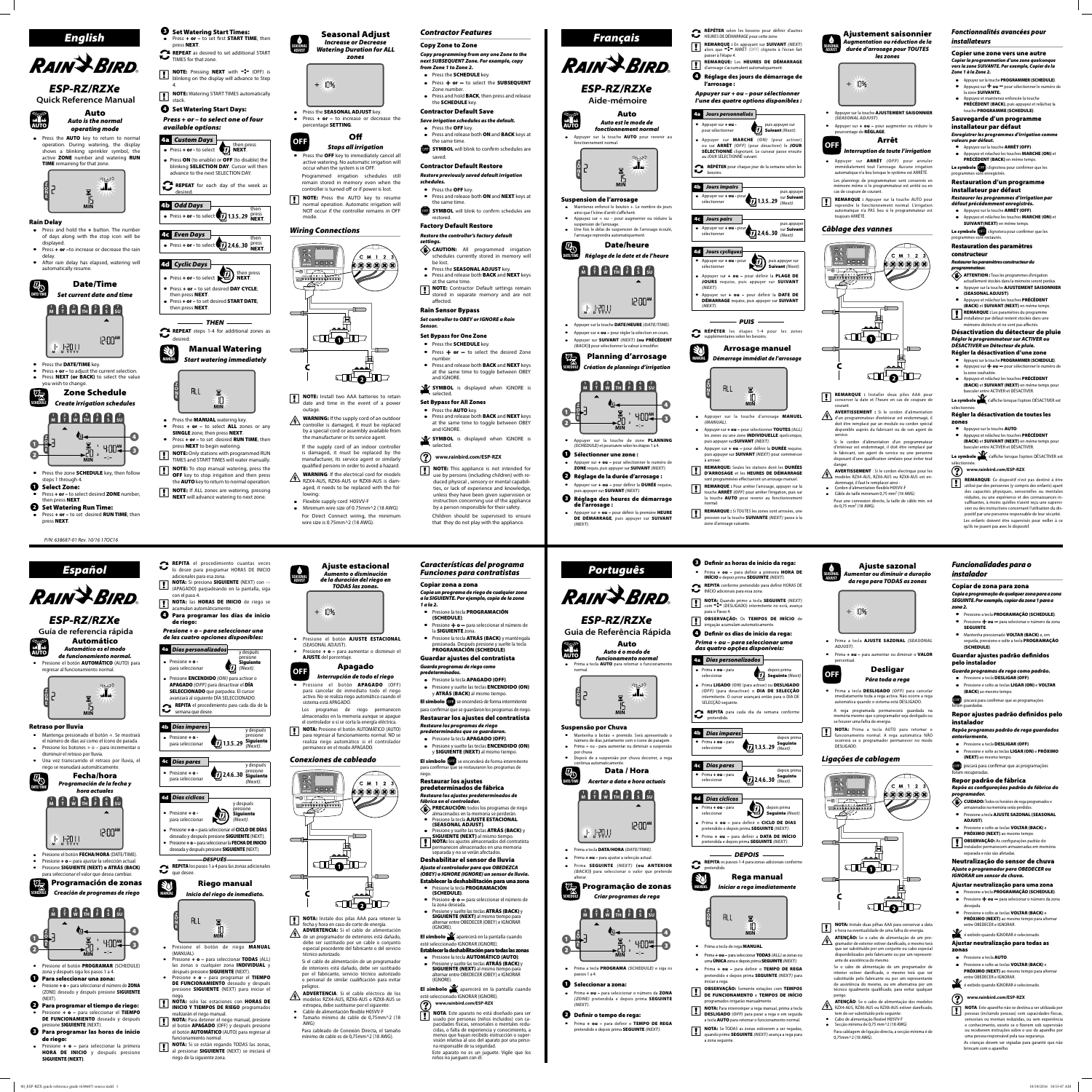



# *ESP-RZ/RZXe*

**Quick Reference Manual**



• Press the AUTO key to return to normal operation. During watering, the display shows a blinking sprinkler symbol, the active **ZONE** number and watering **RUN TIME** remaining for that zone.

- $\bullet$  Press and hold the  $+$  button. The number of days along with the stop icon will be displayed.
- $\bullet$  Press  $+$  or  $-$ to increase or decrease the rain delay. After rain delay has elapsed, watering will automatically resume.



### Rain Delay



• Press the DATE/TIME key.  $\bullet$  Press  $+$  or  $-$  to adjust the current selection. • Press **NEXT** (or BACK) to select the value **G** Set Watering Start Days: *Press + or – to select one of four* 

**4a Custom Days**<br>• Press + or - to select  $\frac{1}{\sqrt{1}}$  NEXT.

• Press ON (to enable) or OFF (to disable) the blinking **SELECTION DAY**. Cursor will then advance to the next SELECTION DAY. **REPEAT** for each day of the week as

 $\bullet$  Press + or - to select  $\left(\frac{1}{2}\right)$  1,3,5...29 Press

 $\bullet$  Press + or - to select  $\left(\frac{1}{2}\right)$  2,4,6...30 press

 $\bullet$  Press + or - to select  $\overrightarrow{H}$  then press • Press + or - to set desired DAY CYCLE:

• Press + or – to set desired **START DATE**:



# *Create irrigation schedules*

-4



*THEN* REPEAT steps 1-4 for additional zones as

press NEXT.

TIMES for that zone.

4.

*available options:*

desired.

4b *Odd Days*

**135 , , ...29**

then

4c *Even Days*

**246 , , ...30**

then

4d *Cyclic Days*

then press **NEXT** 

then press NEXT.

*from Zone 1 to Zone 2.* • Press the **SCHEDULE** key.

desired.

**MANUAL**

Manual Watering *Start watering immediately*

**Z O N E**

**MIN**

 $\mathbf{\Sigma}$ ाप

Press  $+$  or  $-$  to select ALL zones or any **SINGLE** zone; then press **NEXT**.

Press + or - to set desired RUN TIME; then

• Press the **MANUAL** watering key.

ALL

press **NEXT** to begin watering. **NOTE:** Only stations with programmed RUN TIMES and START TIMES will water manually. **NOTE:** To stop manual watering, press the **OFF** key to stop irrigation and then press the **AUTO** key to return to normal operation. **NOTE:** If ALL zones are watering, pressing **NEXT** will advance watering to next zone.

**SEASONAL ADJUST**

Seasonal Adjust *Increase or Decrease Watering Duration for ALL zones*

percentage SETTING.

 $+ \geq 10\%$ 

**OFF** Off

*Stops all irrigation*  $\bullet$  Press the **OFF** key to immediately cancel all active watering. No automatic irrigation will

 $\exists \Box$ 

SHLOUD

• Press the **SEASONAL ADJUST** key. • Press  $+ or - to increase or decrease the$ 

occur when the system is in OFF.

mode.

≔⊚⊫

 $\subset$  TE

 $\overline{\phantom{a}}$ 

*Wiring Connections*

 $\frac{3x}{2x}$  (1) = + D

outage.

lowing:

Flexible supply cord H05VV-F

 Minimum wire size of 0.75mm^2 (18 AWG) For Direct Connect wiring, the minimum

wire size is 0.75mm^2 (18 AWG).

*Contractor Features*

Copy Zone to Zone

*Copy programming from any one Zone to the next SUBSEQUENT Zone. For example, copy* 

Zone number.

• Press the OFF key.

the same time.



saved.

- $\bullet$  Press  $+$  or  $-$  to select the SUBSEQUENT • Press and hold **BACK**, then press and release the **SCHEDULE** key. Contractor Default Save *Save irrigation schedules as the default.* • Press and release both ON and BACK keys at **OFF** SYMBOL will blink to confirm schedules are Contractor Default Restore *Restore previously saved default irrigation*  **AUTO** fonctionnement normal. **Z O N E DATE/TIME M D YYYY SCHEDULE Z O N**  $\mathbf 0$  $\mathbf{Q}$
- passer à l'étape 4. **RAIN & BIRD.**  REMARQUE: Les HEURES DE DÉMARRAGE d'arrosage s'accumulent automatiquement. Réglage des jours de démarrage de l'arrosage : *ESP-RZ/RZXe Appuyer sur + ou – pour sélectionner*  **Aide-mémoire** *l'une des quatre options disponibles :* Auto 4a *Jours personnalisés Auto est le mode de*  • Appuyer sur + ou puis appuyer sur **J** Suivant *(Next)*. *fonctionnement normal* pour sélectionner Appuyer sur la touche AUTO pour revenir au Appuyer sur MARCHE *(ON)* (pour activer) ou sur ARRÊT *(OFF)* (pour désactiver) le JOUR SÉLECTIONNÉ clignotant. Le curseur passe ensuite au JOUR SÉLECTIONNÉ suivant. التوليين RÉPÉTER pour chaque jour de la semaine selon les besoins. **MIN** 4b *Jours impairs* **Appuyer sur + ou - pour** puis appuye<br>sur **Suivant 1,3,5...29** Sur Suivant Suspension de l'arrosage sélectionner *(Next)*. Maintenez enfoncé le bouton +. Le nombre de jours ainsi que l'icône d'arrêt s'affichent. Appuyez sur + ou – pour augmenter ou réduire la 4c *Jours pairs* suspension de l'arrosage. puis appuye • Appuyer sur + **ou** - pour Une fois le délai de suspension de l'arrosage écoulé, **246 , , ...30** sur Suivant sélectionner l'arrosage reprendra automatiquement *(Next)*. Date/heure 4d *Jours cycliques Réglage de la date et de l'heure*  $\bullet$  Appuyer sur  $+\bullet u$  - pour puis appuyer sur Suivant *(Next)*. sélectionner **1 2 3 4 5 6 7 M T W TH F S SU** Appuyer sur + ou - pour définir la PLAGE DE JOURS requise, puis appuyer sur SUIVANT *(NEXT)*. Appuyer sur + ou – pour définir la DATE DE DÉMARRAGE requise, puis appuyer sur SUIVANT **AM** *(NEXT)*. *PUIS* Appuyer sur la touche DATE/HEURE *(DATE/TIME)*. RÉPÉTER les étapes 1-4 pour les zones supplémentaires selon les besoins.  $\bullet$  Appuyer sur  $+\bullet u$  – pour régler la sélection en cours. Appuyer sur SUIVANT *(NEXT)* (ou PRÉCÉDENT *(BACK)*) pour sélectionner la valeur à m Arrosage manuel Planning d'arrosage **MANUAL** *Démarrage immédiat de l'arrosage Création de plannings d'irrigation* **Z**  $\begin{bmatrix} 1 \\ 1 \\ 2 \end{bmatrix}$   $\begin{bmatrix} 2 \\ 3 \\ 3 \end{bmatrix}$   $\begin{bmatrix} 4 \\ 1 \\ 1 \end{bmatrix}$   $\begin{bmatrix} 5 \\ 5 \end{bmatrix}$   $\begin{bmatrix} 6 \\ 5 \end{bmatrix}$   $\begin{bmatrix} 7 \\ 5 \end{bmatrix}$ **O** ALL  $\mathbf{\Sigma}$ **N E MIN** -4 **<sup>E</sup> <sup>1</sup> AM 2 MIN** Appuyer sur la touche d'arrosage MANUEL  $\boldsymbol{\Theta}$ *(MANUAL)*. Appuyer sur + ou – pour sélectionner TOUTES *(ALL)* les zones ou une zone **INDIVIDUELLE** quelconque, Appuyer sur la touche de zone **PLANNING** puis appuyer surSUIVANT *(NEXT)*. *(SCHEDULE)* et poursuivre selon les étapes 1 à 4. Appuyer sur + ou - pour définir la DURÉE requise Sélectionner une zone : puis appuyer sur SUIVANT *(NEXT)* pour commencer à arroser. Appuyer sur + ou - pour sélectionner le numéro de ZONE requis, puis appuyer sur SUIVANT *(NEXT)*. REMARQUE: Seules les stations dont les DURÉES D'ARROSAGE et les HEURES DE DÉMARRAGE Réglage de la durée d'arrosage : sont programmées effectueront un arrosage manuel. Appuyer sur + ou - pour définir la DURÉE requise, REMARQUE : Pour arrêter l'arrosage, appuyer sur la touche ARRÊT *(OFF)* pour arrêter l'irrigation, puis sur puis appuyer sur SUIVANT *(NEXT)*. la touche **AUTO** pour revenir au fonctionnement Réglage des heures de démarrage de l'arrosage : normal. **REMARQUE :** Si TOUTES les zones sont arrosées, une<br>pression sur la touche **SUIVANTE** (NEXT) passe à la

by a person responsible for their safety. Children should be supervised to ensure that they do not play with the appliance.



**Set Watering Start Times:**<br>• Press + or - to set first **START TIME**; then

REPEAT as desired to set additional START

**NOTE:** Pressing **NEXT** with **-:** (OFF) is blinking on the display will advance to Step

**NOTE:** Watering START TIMES automatically stack.

RÉPÉTER selon les besoins pour définir d'autres HEURES DE DÉMARRAGE pour cette zone. **REMARQUE :** En appuyant sur **SUIVANT** *(NEXT)*<br>alors que -:- ARRÊT *(OFF)* clignote à l'écran fait **SEASONAL ADJUST** Ajustement saisonnier *Augmentation ou réduction de la durée d'arrosage pour TOUTES les zones*

> AVERTISSEMENT : Si le cordon d'alimentation<br>d'un programmateur d'extérieur est endommagé, il doit être remplacé par un module ou cordon spécial disponible auprès du fabricant ou de son agent de

SHLOHID

- - Ajuste estacional *Aumento o disminución de la duración del riego en TODAS las zonas.*

 $\Box$ 

*Restaurer les paramètres constructeur du*  **programmateur.**<br> **ATTENTION :** Tous les programmes d'irrigation<br>
actuellement stockés dans la mémoire seront per

 Appuyez et relâchez les touches PRÉCÉDENT (BACK) et SUIVANT (NEXT) en même temps. **REMARQUE :** Les paramètres du programme

installateur par défaut restent stockés dans une mémoire distincte et ne sont pas affectés.

**•** Appuyez sur la touche **PROGRAMMER (SCHEDULE)**. ● Appuyez sur ← ou – pour sélectionner le numéro de la zone souhaitée.

**•** Appuyez et relâchez les touches PRÉCÉDENT (BACK) et SUIVANT (NEXT) en même temps pour basculer entre ACTIVER et DÉSACTIVER.

REMARQUE : Installer deux piles AAA pour conserver la date et l'heure en cas de coupure de Le symbole s'affiche lorsque l'option DÉSACTIVER est

disposant d'une qualification similaire pour éviter tout Le symbole s'affiche lorsque l'option DÉSACTIVER est sélectionnée.

# **WWW.rainbird.com/ESP-RZX**<br>**REMARQUE**: Ce dispositif n'est pas destiné à être **REMARQUE:** Ce dispositif n'est pas destiné à être **du** utilisé par des personnes (y compris des enfants) ayant

AVERTISSEMENT : Si le cordon électrique pour les<br>modèles RZX4-AUS, RZX6-AUS ou RZX8-AUS est endommagé, il faut le remplacer ainsi : Cordon d'alimentation flexible H05VV-F  $\bullet$  Câble de taille minimum 0,75 mm<sup>2</sup> (18 AWG)

| <i><b>ESP-RZ/RZXe</b></i><br>Guia de Referência Rápida<br>Auto<br>wi M<br>Auto é o modo de<br>AUTO<br>funcionamento normal<br>Prima a tecla AUTO para retomar o funcionamento<br>normal.<br>ж<br>Suspensão por Chuva | para o Pas:<br><b>OBSERV</b><br>$\mathbf{L}$<br>irrigação a<br>Definir<br>Prima + oı<br>das quatr<br>4a<br>Dias p<br>• Prima + ou<br>seleccionar<br>Prima LIGA<br>(OFF) (par<br>intermitent<br>SELECÇÃO s<br><b>REPITA</b> |
|----------------------------------------------------------------------------------------------------------------------------------------------------------------------------------------------------------------------|----------------------------------------------------------------------------------------------------------------------------------------------------------------------------------------------------------------------------|
|                                                                                                                                                                                                                      |                                                                                                                                                                                                                            |
|                                                                                                                                                                                                                      |                                                                                                                                                                                                                            |
|                                                                                                                                                                                                                      |                                                                                                                                                                                                                            |
|                                                                                                                                                                                                                      |                                                                                                                                                                                                                            |
|                                                                                                                                                                                                                      |                                                                                                                                                                                                                            |
|                                                                                                                                                                                                                      |                                                                                                                                                                                                                            |
|                                                                                                                                                                                                                      | pretendi                                                                                                                                                                                                                   |
| Mantenha o botão + premido. Será apresentado o                                                                                                                                                                       | 4b<br>Dias ín                                                                                                                                                                                                              |
| número de dias juntamente com o ícone de paragem.<br>Prima + ou - para aumentar ou diminuir a suspensão<br>por chuva.                                                                                                | Prima $+$ ou<br>seleccionar                                                                                                                                                                                                |
| Depois de a suspensão por chuva decorrer, a rega<br>continua automaticamente.                                                                                                                                        |                                                                                                                                                                                                                            |
| Data / Hora                                                                                                                                                                                                          | 4с<br>Dias p<br>• Prima + ou                                                                                                                                                                                               |
| DATE/TIME<br>Acertar a data e hora actuais                                                                                                                                                                           | seleccionar                                                                                                                                                                                                                |
| W<br>รบ<br>M                                                                                                                                                                                                         | 4d<br>Dias ci                                                                                                                                                                                                              |
|                                                                                                                                                                                                                      | • Prima + ou<br>seleccionar                                                                                                                                                                                                |
| 12:00 AM                                                                                                                                                                                                             | $\bullet\,$ Prima + $\bullet\,$                                                                                                                                                                                            |
| M                                                                                                                                                                                                                    | pretendido<br>Prima + or                                                                                                                                                                                                   |
| Prima a tecla DATA/HORA (DATE/TIME).                                                                                                                                                                                 | pretendida                                                                                                                                                                                                                 |
| Prima + ou - para ajustar a selecção actual.                                                                                                                                                                         | <b>REPITA</b> o                                                                                                                                                                                                            |
| Prima SEGUINTE (NEXT) (ou ANTERIOR<br>(BACK)) para seleccionar o valor que pretende<br>alterar.                                                                                                                      | $\blacktriangleright$ pretendide                                                                                                                                                                                           |
| Programação de zonas                                                                                                                                                                                                 | MANUAI<br>In                                                                                                                                                                                                               |
| SCHFDULE<br>Criar programas de rega                                                                                                                                                                                  |                                                                                                                                                                                                                            |
| su<br>M<br>W<br>4                                                                                                                                                                                                    |                                                                                                                                                                                                                            |
| 1<br>IAM                                                                                                                                                                                                             | Prima a teo                                                                                                                                                                                                                |
| $\overline{\mathbf{z}}$                                                                                                                                                                                              | Prima + ou<br>uma <b>ÚNIC</b>                                                                                                                                                                                              |
| Prima a tecla PROGRAMA (SCHEDULE) e siga os<br>passos 1 a 4.                                                                                                                                                         | Prima $+$<br>pretendid                                                                                                                                                                                                     |
| Seleccionar a zona:                                                                                                                                                                                                  | iniciar a re<br><b>OBSERV/</b>                                                                                                                                                                                             |
| Prima + ou - para seleccionar o número da ZONA<br>(ZONE) pretendida e depois prima SEGUINTE<br>(NEXT).                                                                                                               | <b>DE FUNG</b><br>programad<br><b>NOTA: Pa</b>                                                                                                                                                                             |
| 21<br>Definir o tempo de rega:                                                                                                                                                                                       | <b>DESLIGA</b><br>a tecla AU                                                                                                                                                                                               |
| Prima + ou - para definir o TEMPO DE REGA<br>pretendido e depois prima SEGUINTE (NEXT).                                                                                                                              | <b>NOTA: Se</b><br>quando pr<br>a zona seg                                                                                                                                                                                 |

*Características del programa Funciones para contratistas*

Copiar zona a zona

*Copia un programa de riego de cualquier zona* 



*Français*

DE DÉMARRAGE, puis appuyer sur SUIVANT

Appuyer sur + ou – pour définir la première HEURE

- $\bullet$  $-:-$ **MIN** • Press the zone **SCHEDULE** key, then follow
- steps 1 through 4. **O** Select Zone:<br>
Press + or – to select desired ZONE number;
- then press NEXT.
- Set Watering Run Time:<br>• Press + or to set desired RUN TIME; then press NEXT.
	- *P/N: 638687-01 Rev. 10/16 17OC16*

*(NEXT)*.

pression sur la touche SUIVANTE *(NEXT)* passe à la

**B** Definir as horas de início da rega:

zone d'arrosage suivante.





**OFF** Arrêt

cas de coupure de courant.

reprendre le fonctionnement normal. L'irrigation

toujours ARRÊTÉ.

 $\begin{array}{|c|c|c|c|c|}\n\hline\n\text{exp-RZX} & \text{d} & \text{d} & \text{e} & \text{f} & \text{f} \\
\hline\n\text{exp-RZX} & \text{d} & \text{d} & \text{d} & \text{d} & \text{d} & \text{d} \\
\hline\n\end{array}$ 

. K. S

<sup>※◎ │</sup>— ৴ <sup>← †</sup>

 $\Box$ E

 $\Box$ 

*Câblage des vannes*

courant.

service.

*Interruption de toute l'irrigation* Appuyez sur la touche ARRÊT (OFF). Appuyez et relachez les touches MARCHE (ON) et PRÉCÉDENT (BACK) en même temps.

danger.

 Appuyer sur ARRÊT *(OFF)* pour annuler immédiatement tout l'arrosage. Aucune irrigation automatique n'a lieu lorsque le système est ARRÊTÉ. Les plannings de programmation sont conservés en Le symbole <sup>(OFF</sup>) clignotera pour confirmer que les programmes sont enregistrés.

 $C$   $M$   $1$   $2$ 

 $0.80808$ 

 $\overline{\mathbb{I}}$ 

 $\Box$ 

SILOHIEZ

mémoire même si le programmateur est arrêté ou en REMARQUE : Appuyer sur la touche AUTO pour Restauration d'un programme installateur par défaut

*Fonctionnalités avancées pour* 

automatique n'a PAS lieu si le programmateur est Appuyez sur la touche ARRÊT (OFF). Appuyez et relâchez les touches MARCHE (ON) et SUIVANT(NEXT) en même temps.

Le symbole **QH** clignotera pour confirmer que les programmes sont restaure

*installateurs* 

Copier une zone vers une autre *Copier la programmation d'une zone quelconque vers la zone SUIVANTE. Par exemple, Copier de la* 

**•** Appuyez sur la touche **PROGRAMMER (SCHEDULE)**. ● Appuyez sur ← ou – pour sélectionner le numéro de

*Zone 1 à la Zone 2.*

la zone SUIVANTE.

 Appuyez et maintenez enfoncée la touche PRÉCÉDENT (BACK), puis appuyez et relâchez la touche PROGRAMME (SCHEDULE). Sauvegarde d'un programme installateur par défaut

*Enregistrer les programmes d'irrigation comme* 

*valeurs par défaut.*

*Restaurer les programmes d'irrigation par défaut précédemment enregistrés.*

Si le cordon d'alimentation d'un programmateur d'intérieur est endommagé, il doit être remplacé par le fabricant, son agent de service ou une personne (BACK) et SUIVANT (NEXT) en même temps pour basculer entre ACTIVER et DÉSACTIVER.

Restauration des paramètres

# constructeur

actuellement stockés dans la mémoire seront perdus. Appuyer sur la touche AJUSTEMENT SAISONNIER (SEASONAL ADJUST).

Pour une connexion directe, la taille de câble min. est de 0,75 mm² (18 AWG). réduites, ou une expérience et des connaissances insuffisantes, à moins qu'elles n'aient reçu une supervision ou des instructions concernant l'utilisation du dispositif par une personne responsable de leur sécurité.

### Désactivation du détecteur de pluie *Régler le programmateur sur ACTIVER ou DÉSACTIVER un Détecteur de pluie.*

### Régler la désactivation d'une zone

sélectionnée. Régler la désactivation de toutes les

- zones
- Appuyez sur la touche AUTO. Appuyez et relâchez les touches PRÉCÉDENT

des capacités physiques, sensorielles ou mentales

Les enfants doivent être supervisés pour veiller à ce qu'ils ne jouent pas avec le dispositif.

*Português*



**SEASONAL ADJUST**

*ADJUST)*.

percentual.

DESLIGADO.

 $\frac{1}{2}$  **d**  $\equiv$   $\pm$  **D** 

<sup>⊞</sup>್∕ ⊺⊺∾ 

 $\Box$ 

 $\subset$  TE

#### Ajuste sazonal *Aumentar ou diminuir a duração da rega para TODAS as zonas Funcionalidades para o instalador*

perigo.

# Copiar de zona para zona

*Copia a programação de qualquer zona para a zona SEGUINTE. Por exemplo, copiar da zona 1 para a*